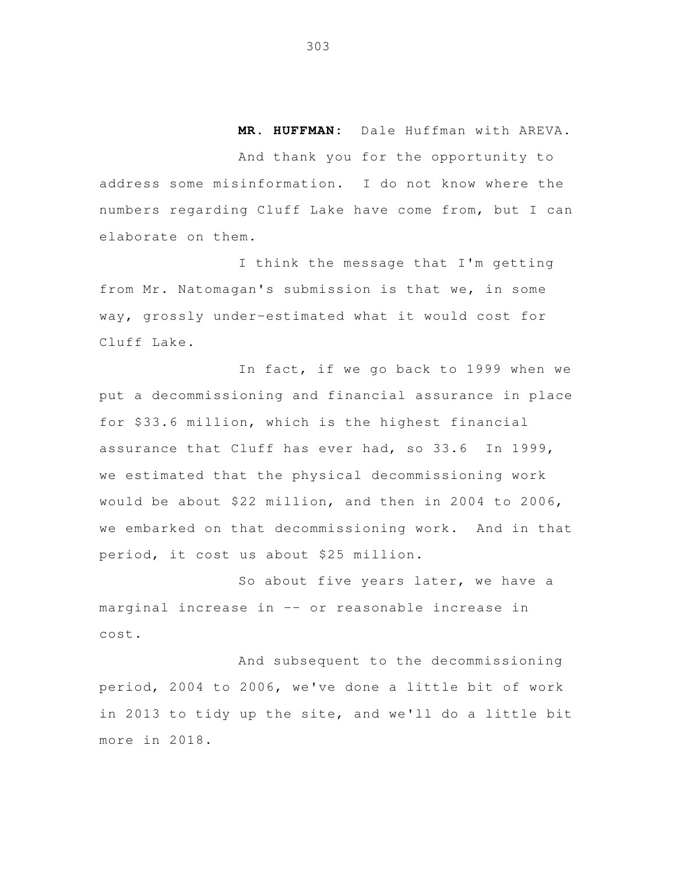**MR. HUFFMAN:** Dale Huffman with AREVA.

 And thank you for the opportunity to address some misinformation. I do not know where the numbers regarding Cluff Lake have come from, but I can elaborate on them.

 I think the message that I'm getting from Mr. Natomagan's submission is that we, in some way, grossly under-estimated what it would cost for Cluff Lake.

 In fact, if we go back to 1999 when we put a decommissioning and financial assurance in place for \$33.6 million, which is the highest financial assurance that Cluff has ever had, so 33.6 In 1999, we estimated that the physical decommissioning work would be about \$22 million, and then in 2004 to 2006, we embarked on that decommissioning work. And in that period, it cost us about \$25 million.

 So about five years later, we have a marginal increase in -- or reasonable increase in cost.

 And subsequent to the decommissioning period, 2004 to 2006, we've done a little bit of work in 2013 to tidy up the site, and we'll do a little bit more in 2018.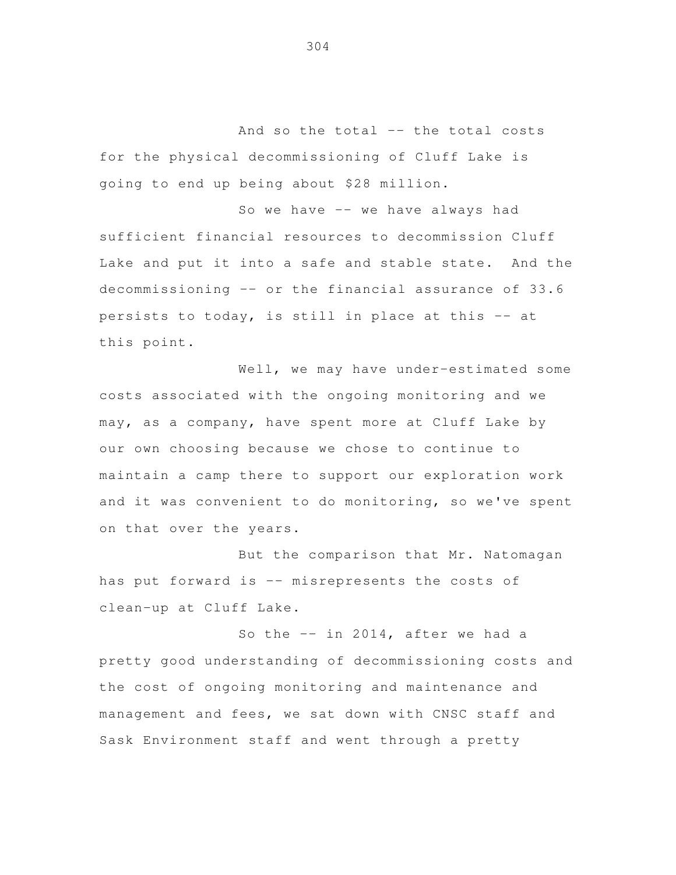And so the total -- the total costs for the physical decommissioning of Cluff Lake is going to end up being about \$28 million.

 So we have -- we have always had sufficient financial resources to decommission Cluff Lake and put it into a safe and stable state. And the decommissioning -- or the financial assurance of 33.6 persists to today, is still in place at this -- at this point.

Well, we may have under-estimated some costs associated with the ongoing monitoring and we may, as a company, have spent more at Cluff Lake by our own choosing because we chose to continue to maintain a camp there to support our exploration work and it was convenient to do monitoring, so we've spent on that over the years.

 But the comparison that Mr. Natomagan has put forward is -- misrepresents the costs of clean-up at Cluff Lake.

So the -- in 2014, after we had a pretty good understanding of decommissioning costs and the cost of ongoing monitoring and maintenance and management and fees, we sat down with CNSC staff and Sask Environment staff and went through a pretty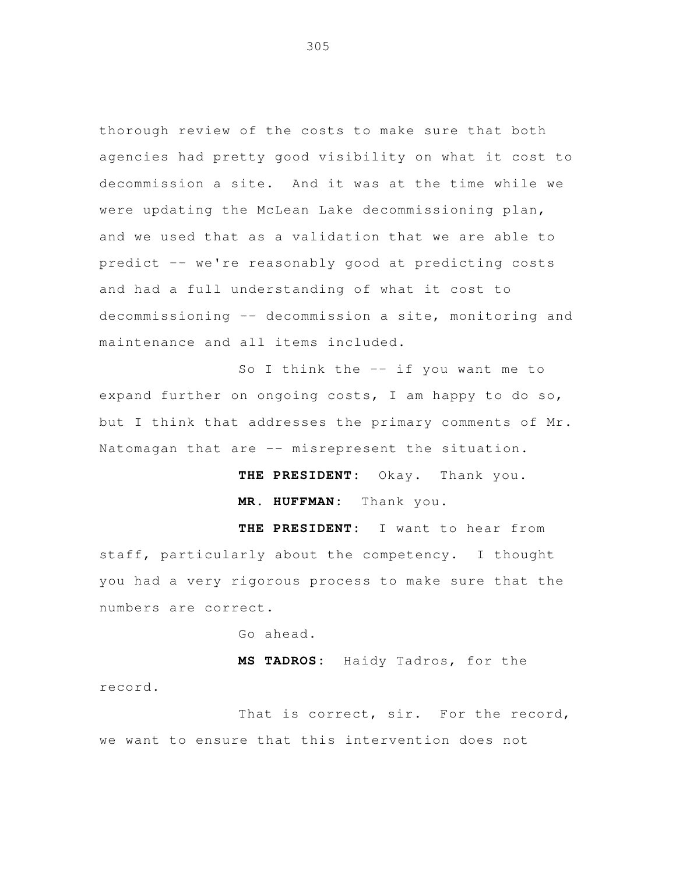thorough review of the costs to make sure that both agencies had pretty good visibility on what it cost to decommission a site. And it was at the time while we were updating the McLean Lake decommissioning plan, and we used that as a validation that we are able to predict -- we're reasonably good at predicting costs and had a full understanding of what it cost to decommissioning -- decommission a site, monitoring and maintenance and all items included.

 So I think the -- if you want me to expand further on ongoing costs, I am happy to do so, but I think that addresses the primary comments of Mr. Natomagan that are -- misrepresent the situation.

**THE PRESIDENT:** Okay. Thank you.

**MR. HUFFMAN:** Thank you.

THE PRESIDENT: staff, particularly about the competency. I thought you had a very rigorous process to make sure that the numbers are correct. I want to hear from

Go ahead.

 **MS TADROS:** Haidy Tadros, for the record.

That is correct, sir. For the record, we want to ensure that this intervention does not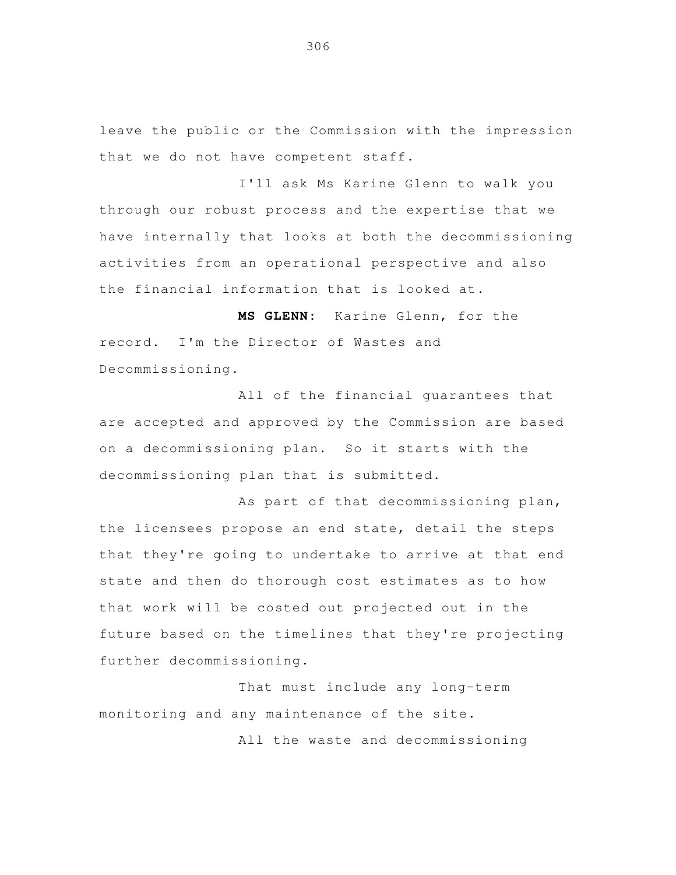leave the public or the Commission with the impression that we do not have competent staff.

 I'll ask Ms Karine Glenn to walk you through our robust process and the expertise that we have internally that looks at both the decommissioning activities from an operational perspective and also the financial information that is looked at.

 **MS GLENN:** Karine Glenn, for the record. I'm the Director of Wastes and Decommissioning.

 All of the financial guarantees that are accepted and approved by the Commission are based on a decommissioning plan. So it starts with the decommissioning plan that is submitted.

 As part of that decommissioning plan, the licensees propose an end state, detail the steps that they're going to undertake to arrive at that end state and then do thorough cost estimates as to how that work will be costed out projected out in the future based on the timelines that they're projecting further decommissioning.

 That must include any long-term monitoring and any maintenance of the site.

All the waste and decommissioning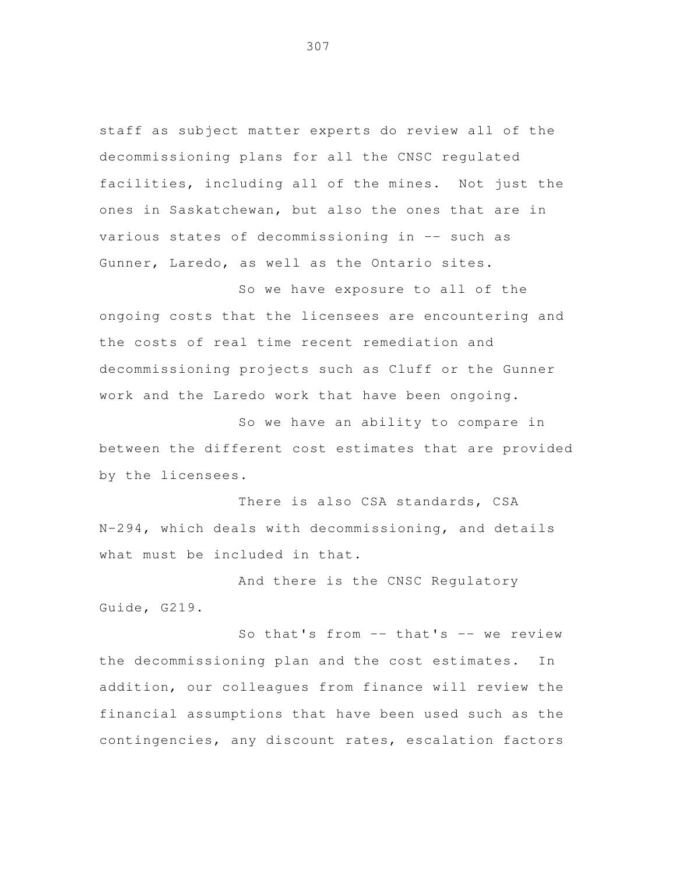staff as subject matter experts do review all of the decommissioning plans for all the CNSC regulated facilities, including all of the mines. Not just the ones in Saskatchewan, but also the ones that are in various states of decommissioning in -- such as Gunner, Laredo, as well as the Ontario sites.

 So we have exposure to all of the ongoing costs that the licensees are encountering and the costs of real time recent remediation and decommissioning projects such as Cluff or the Gunner work and the Laredo work that have been ongoing.

 So we have an ability to compare in between the different cost estimates that are provided by the licensees.

 There is also CSA standards, CSA N-294, which deals with decommissioning, and details what must be included in that.

 And there is the CNSC Regulatory Guide, G219.

 So that's from -- that's -- we review the decommissioning plan and the cost estimates. In addition, our colleagues from finance will review the financial assumptions that have been used such as the contingencies, any discount rates, escalation factors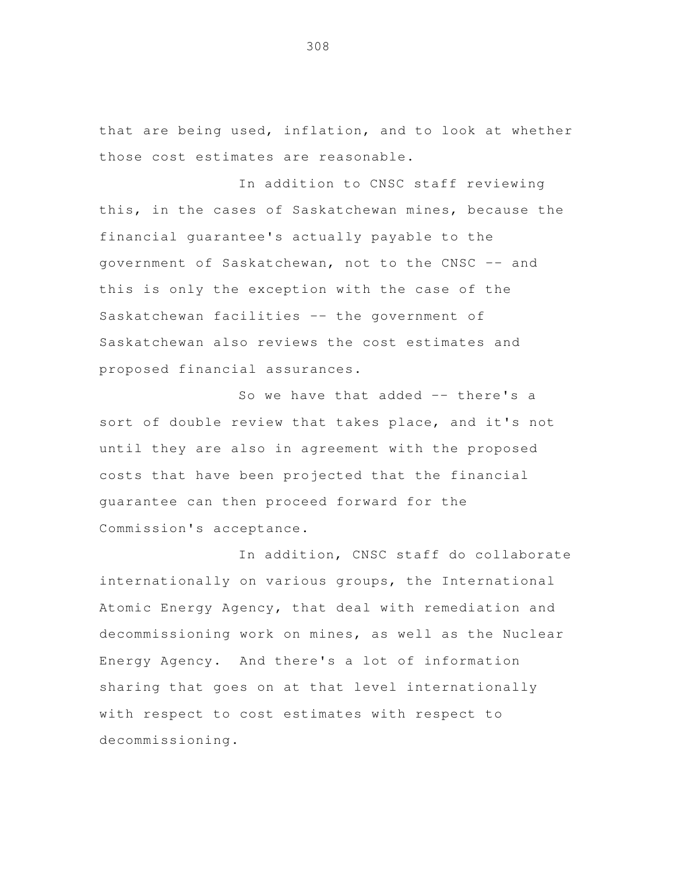that are being used, inflation, and to look at whether those cost estimates are reasonable.

 In addition to CNSC staff reviewing this, in the cases of Saskatchewan mines, because the financial guarantee's actually payable to the government of Saskatchewan, not to the CNSC -- and this is only the exception with the case of the Saskatchewan facilities -- the government of Saskatchewan also reviews the cost estimates and proposed financial assurances.

So we have that added -- there's a sort of double review that takes place, and it's not until they are also in agreement with the proposed costs that have been projected that the financial guarantee can then proceed forward for the Commission's acceptance.

 In addition, CNSC staff do collaborate internationally on various groups, the International Atomic Energy Agency, that deal with remediation and decommissioning work on mines, as well as the Nuclear Energy Agency. And there's a lot of information sharing that goes on at that level internationally with respect to cost estimates with respect to decommissioning.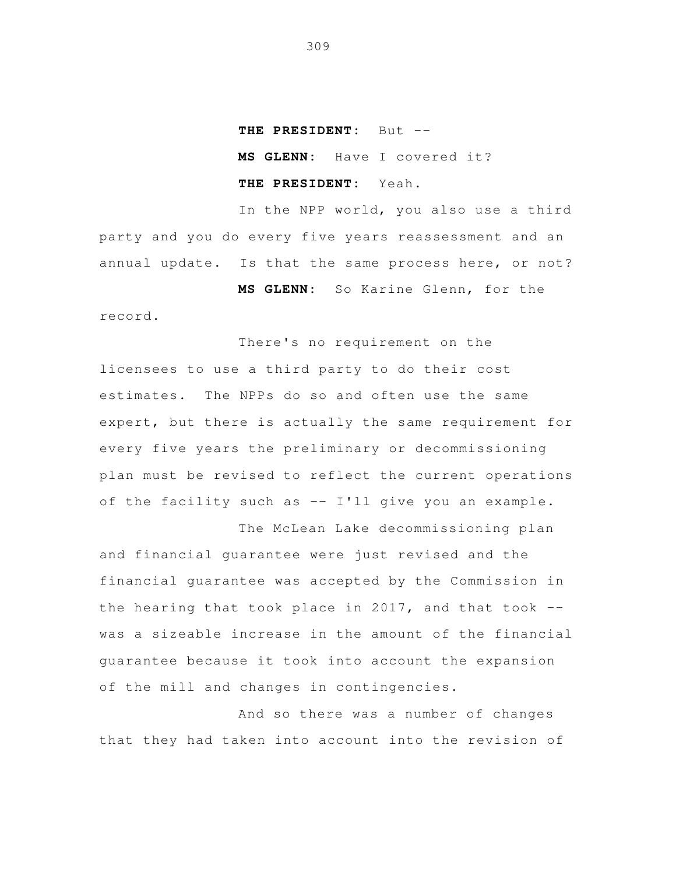## **THE PRESIDENT:** But -

**MS GLENN:** Have I covered it? **THE PRESIDENT:** Yeah.

In the NPP world, you also use a third party and you do every five years reassessment and an annual update. Is that the same process here, or not?

record.

**MS GLENN:** So Karine Glenn, for the

There's no requirement on the licensees to use a third party to do their cost estimates. The NPPs do so and often use the same expert, but there is actually the same requirement for every five years the preliminary or decommissioning plan must be revised to reflect the current operations of the facility such as  $--$  I'll give you an example.

The McLean Lake decommissioning plan and financial guarantee were just revised and the financial guarantee was accepted by the Commission in the hearing that took place in 2017, and that took  $-$ was a sizeable increase in the amount of the financial guarantee because it took into account the expansion of the mill and changes in contingencies. j

And so there was a number of changes that they had taken into account into the revision of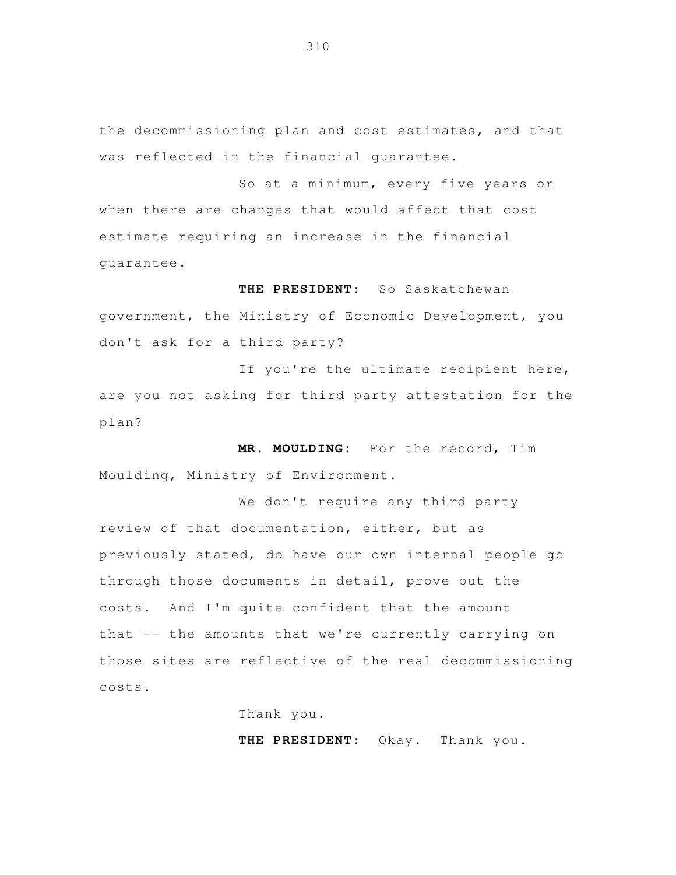the decommissioning plan and cost estimates, and that was reflected in the financial guarantee.

 So at a minimum, every five years or when there are changes that would affect that cost estimate requiring an increase in the financial guarantee.

 **THE PRESIDENT:** So Saskatchewan government, the Ministry of Economic Development, you don't ask for a third party?

If you're the ultimate recipient here, are you not asking for third party attestation for the plan?

 **MR. MOULDING:** For the record, Tim Moulding, Ministry of Environment.

 We don't require any third party review of that documentation, either, but as previously stated, do have our own internal people go through those documents in detail, prove out the costs. And I'm quite confident that the amount that -- the amounts that we're currently carrying on those sites are reflective of the real decommissioning costs.

Thank you.

**THE PRESIDENT:** Okay. Thank you.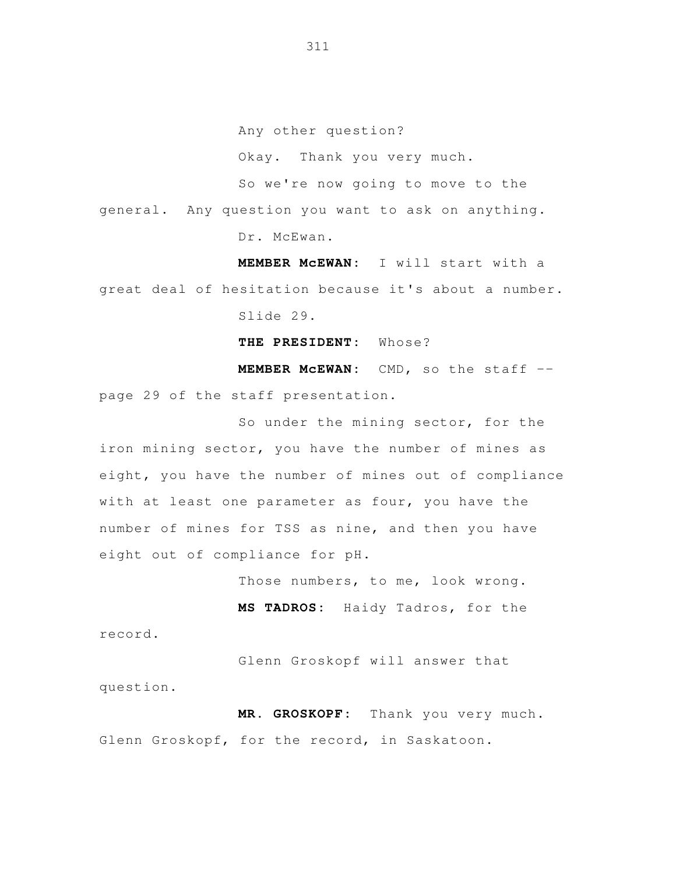Any other question?

Okay. Thank you very much.

So we're now going to move to the

general. Any question you want to ask on anything.

Dr. McEwan.

 **MEMBER McEWAN:** I will start with a great deal of hesitation because it's about a number. Slide 29.

**THE PRESIDENT:** Whose?

 **MEMBER McEWAN:** CMD, so the staff - page 29 of the staff presentation.

 So under the mining sector, for the iron mining sector, you have the number of mines as eight, you have the number of mines out of compliance with at least one parameter as four, you have the number of mines for TSS as nine, and then you have eight out of compliance for pH.

Those numbers, to me, look wrong.

 **MS TADROS:** Haidy Tadros, for the record.

 Glenn Groskopf will answer that question.

 **MR. GROSKOPF:** Thank you very much. Glenn Groskopf, for the record, in Saskatoon.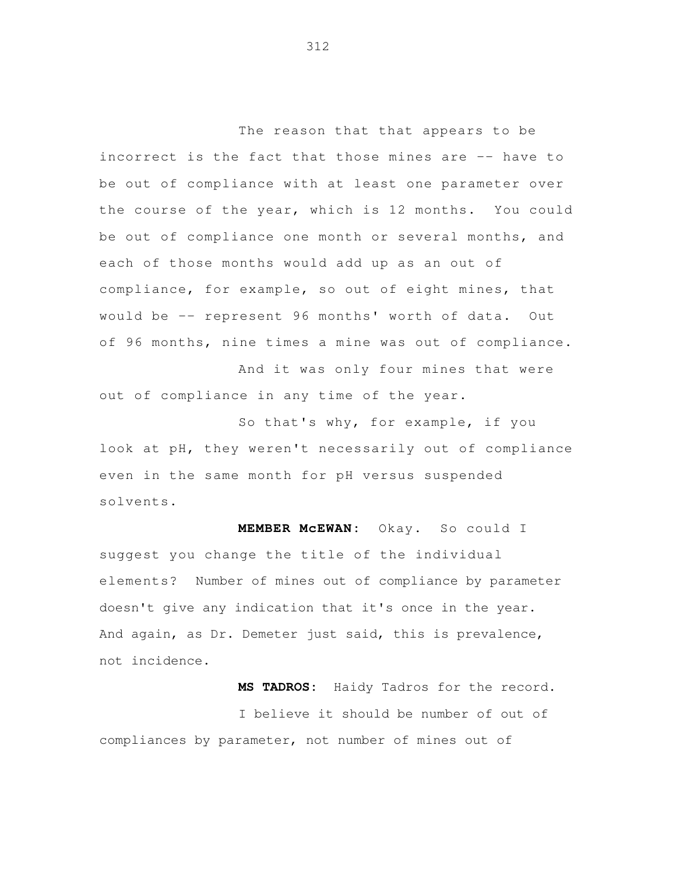The reason that that appears to be incorrect is the fact that those mines are -- have to be out of compliance with at least one parameter over the course of the year, which is 12 months. You could be out of compliance one month or several months, and each of those months would add up as an out of compliance, for example, so out of eight mines, that would be -- represent 96 months' worth of data. Out of 96 months, nine times a mine was out of compliance.

 And it was only four mines that were out of compliance in any time of the year.

 So that's why, for example, if you look at pH, they weren't necessarily out of compliance even in the same month for pH versus suspended solvents.

MEMBER MCEWAN: suggest you change the title of the individual elements? Number of mines out of compliance by parameter doesn't give any indication that it's once in the year. And again, as Dr. Demeter just said, this is prevalence, Okay. So could I not incidence.

 **MS TADROS:** Haidy Tadros for the record. I believe it should be number of out of compliances by parameter, not number of mines out of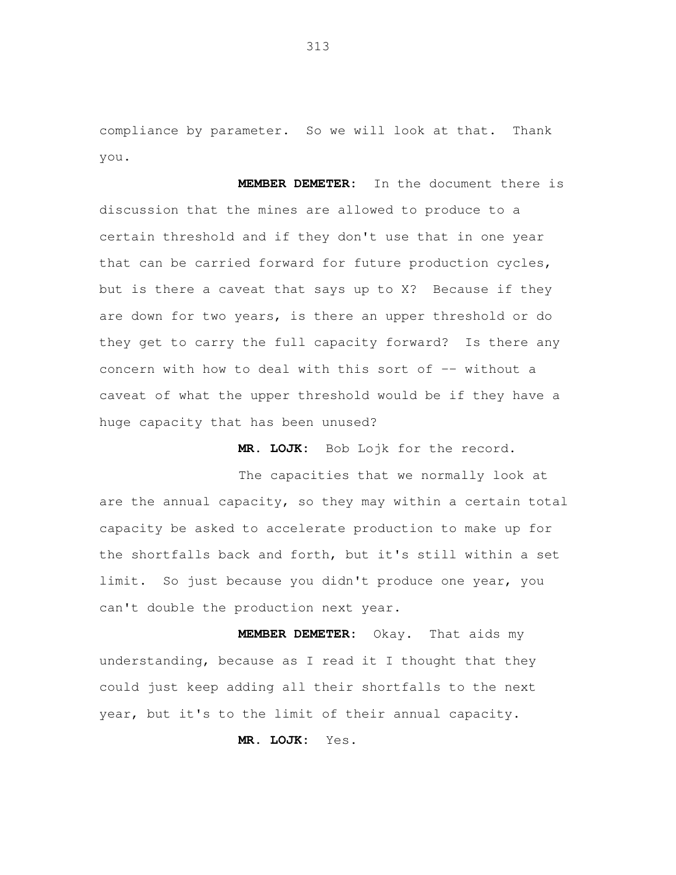compliance by parameter. So we will look at that. Thank you.

 **MEMBER DEMETER:** In the document there is discussion that the mines are allowed to produce to a certain threshold and if they don't use that in one year that can be carried forward for future production cycles, but is there a caveat that says up to X? Because if they are down for two years, is there an upper threshold or do they get to carry the full capacity forward? Is there any concern with how to deal with this sort of -- without a caveat of what the upper threshold would be if they have a huge capacity that has been unused?

**MR. LOJK:** Bob Lojk for the record.

 The capacities that we normally look at are the annual capacity, so they may within a certain total capacity be asked to accelerate production to make up for the shortfalls back and forth, but it's still within a set limit. So just because you didn't produce one year, you can't double the production next year.

 **MEMBER DEMETER:** Okay. That aids my understanding, because as I read it I thought that they could just keep adding all their shortfalls to the next year, but it's to the limit of their annual capacity.

**MR. LOJK:** Yes.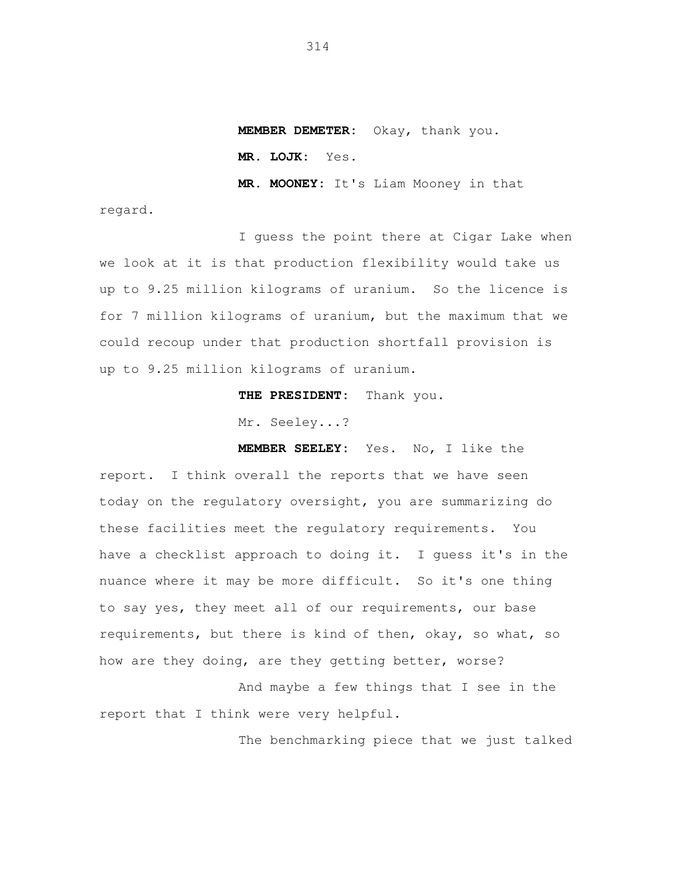**MEMBER DEMETER:** Okay, thank you.

**MR. LOJK:** Yes.

**MR. MOONEY:** It's Liam Mooney in that

regard.

 I guess the point there at Cigar Lake when we look at it is that production flexibility would take us up to 9.25 million kilograms of uranium. So the licence is for 7 million kilograms of uranium, but the maximum that we could recoup under that production shortfall provision is up to 9.25 million kilograms of uranium.

**THE PRESIDENT:** Thank you.

Mr. Seeley...?

**MEMBER SEELEY:** Yes. No, I like the

 report. I think overall the reports that we have seen today on the regulatory oversight, you are summarizing do these facilities meet the regulatory requirements. You have a checklist approach to doing it. I guess it's in the nuance where it may be more difficult. So it's one thing to say yes, they meet all of our requirements, our base requirements, but there is kind of then, okay, so what, so how are they doing, are they getting better, worse?

 And maybe a few things that I see in the report that I think were very helpful.

The benchmarking piece that we just talked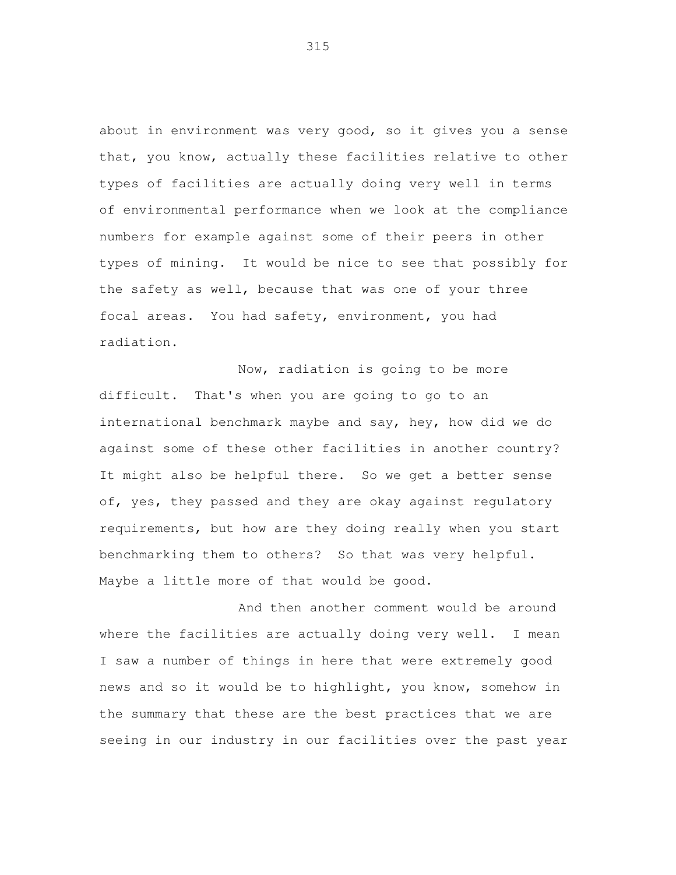about in environment was very good, so it gives you a sense that, you know, actually these facilities relative to other types of facilities are actually doing very well in terms of environmental performance when we look at the compliance numbers for example against some of their peers in other types of mining. It would be nice to see that possibly for the safety as well, because that was one of your three focal areas. You had safety, environment, you had radiation.

Now, radiation is going to be more difficult. That's when you are going to go to an international benchmark maybe and say, hey, how did we do against some of these other facilities in another country? It might also be helpful there. So we get a better sense of, yes, they passed and they are okay against regulatory requirements, but how are they doing really when you start benchmarking them to others? So that was very helpful. Maybe a little more of that would be good.

And then another comment would be around where the facilities are actually doing very well. I mean I saw a number of things in here that were extremely good news and so it would be to highlight, you know, somehow in the summary that these are the best practices that we are seeing in our industry in our facilities over the past year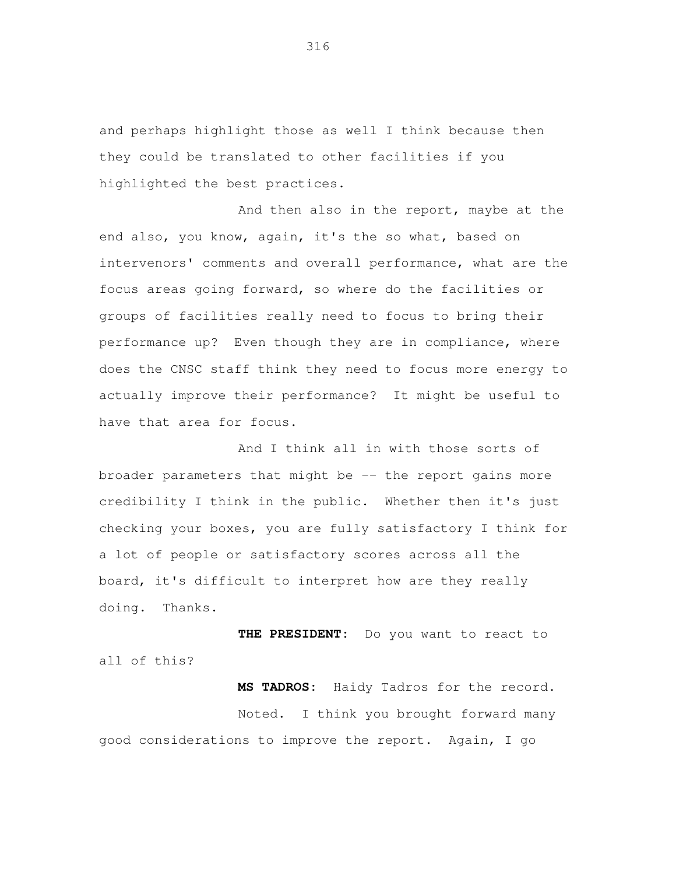and perhaps highlight those as well I think because then they could be translated to other facilities if you highlighted the best practices.

And then also in the report, maybe at the end also, you know, again, it's the so what, based on intervenors' comments and overall performance, what are the focus areas going forward, so where do the facilities or groups of facilities really need to focus to bring their performance up? Even though they are in compliance, where does the CNSC staff think they need to focus more energy to actually improve their performance? It might be useful to have that area for focus.

And I think all in with those sorts of broader parameters that might be -- the report gains more credibility I think in the public. Whether then it's just checking your boxes, you are fully satisfactory I think for a lot of people or satisfactory scores across all the board, it's difficult to interpret how are they really doing. Thanks.

**THE PRESIDENT:** Do you want to react to all of this?

**MS TADROS:** Haidy Tadros for the record. Noted. I think you brought forward many good considerations to improve the report. Again, I go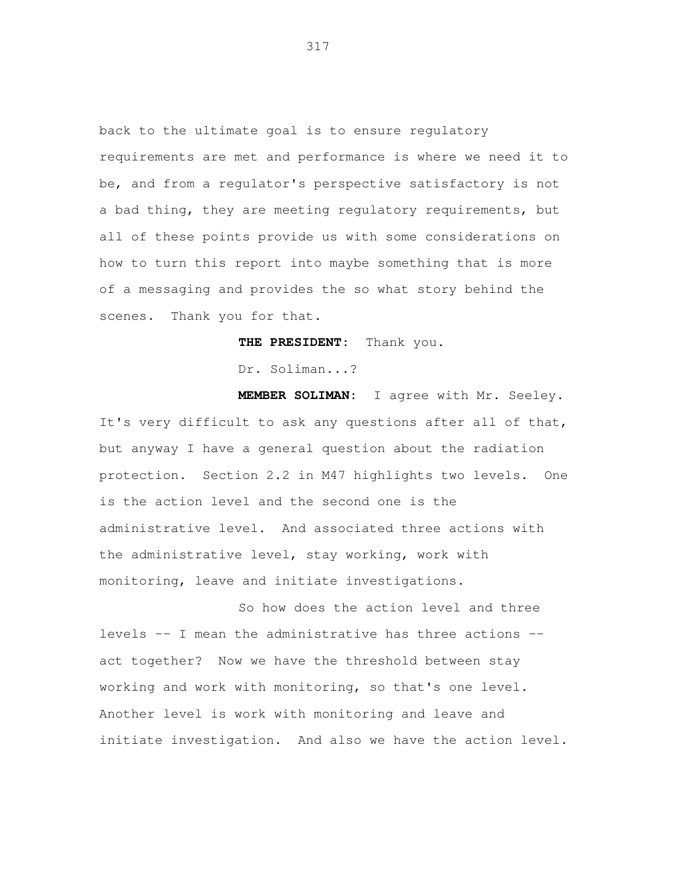back to the ultimate goal is to ensure regulatory requirements are met and performance is where we need it to be, and from a regulator's perspective satisfactory is not a bad thing, they are meeting regulatory requirements, but all of these points provide us with some considerations on how to turn this report into maybe something that is more of a messaging and provides the so what story behind the scenes. Thank you for that.

**THE PRESIDENT:** Thank you.

Dr. Soliman...?

 **MEMBER SOLIMAN:** I agree with Mr. Seeley. It's very difficult to ask any questions after all of that, but anyway I have a general question about the radiation protection. Section 2.2 in M47 highlights two levels. One is the action level and the second one is the administrative level. And associated three actions with the administrative level, stay working, work with monitoring, leave and initiate investigations.

 So how does the action level and three levels -- I mean the administrative has three actions - act together? Now we have the threshold between stay working and work with monitoring, so that's one level. Another level is work with monitoring and leave and initiate investigation. And also we have the action level.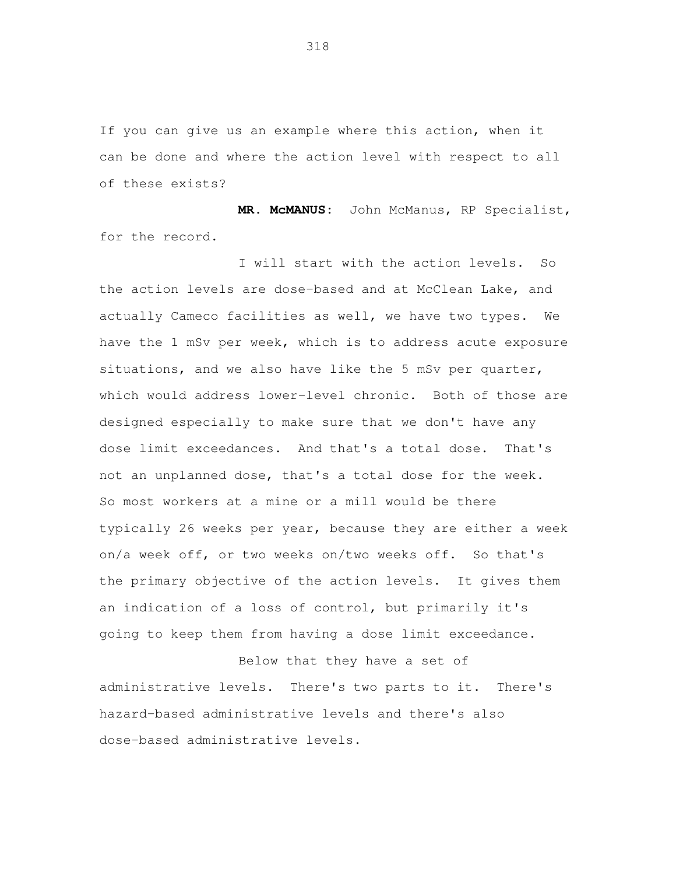If you can give us an example where this action, when it can be done and where the action level with respect to all of these exists?

**MR. McMANUS:** John McManus, RP Specialist, for the record.

I will start with the action levels. So the action levels are dose-based and at McClean Lake, and actually Cameco facilities as well, we have two types. We have the 1 mSv per week, which is to address acute exposure situations, and we also have like the 5 mSv per quarter, which would address lower-level chronic. Both of those are designed especially to make sure that we don't have any dose limit exceedances. And that's a total dose. That's not an unplanned dose, that's a total dose for the week. So most workers at a mine or a mill would be there typically 26 weeks per year, because they are either a week on/a week off, or two weeks on/two weeks off. So that's the primary objective of the action levels. It gives them an indication of a loss of control, but primarily it's going to keep them from having a dose limit exceedance.

Below that they have a set of administrative levels. There's two parts to it. There's hazard-based administrative levels and there's also dose-based administrative levels.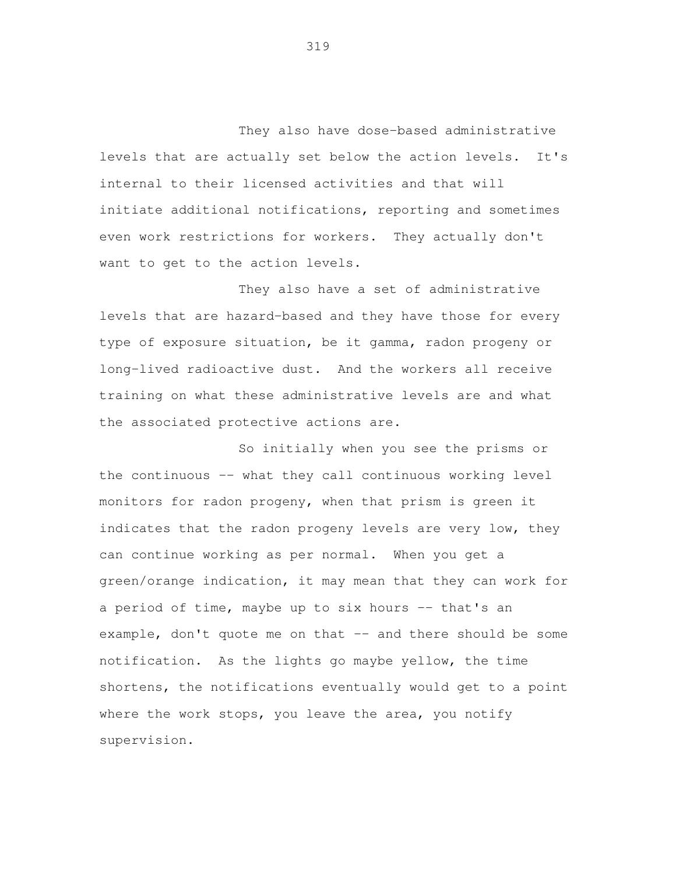They also have dose-based administrative levels that are actually set below the action levels. It's internal to their licensed activities and that will initiate additional notifications, reporting and sometimes even work restrictions for workers. They actually don't want to get to the action levels.

 They also have a set of administrative levels that are hazard-based and they have those for every type of exposure situation, be it gamma, radon progeny or long-lived radioactive dust. And the workers all receive training on what these administrative levels are and what the associated protective actions are.

 So initially when you see the prisms or the continuous -- what they call continuous working level monitors for radon progeny, when that prism is green it indicates that the radon progeny levels are very low, they can continue working as per normal. When you get a green/orange indication, it may mean that they can work for a period of time, maybe up to six hours -- that's an example, don't quote me on that -- and there should be some notification. As the lights go maybe yellow, the time shortens, the notifications eventually would get to a point where the work stops, you leave the area, you notify supervision.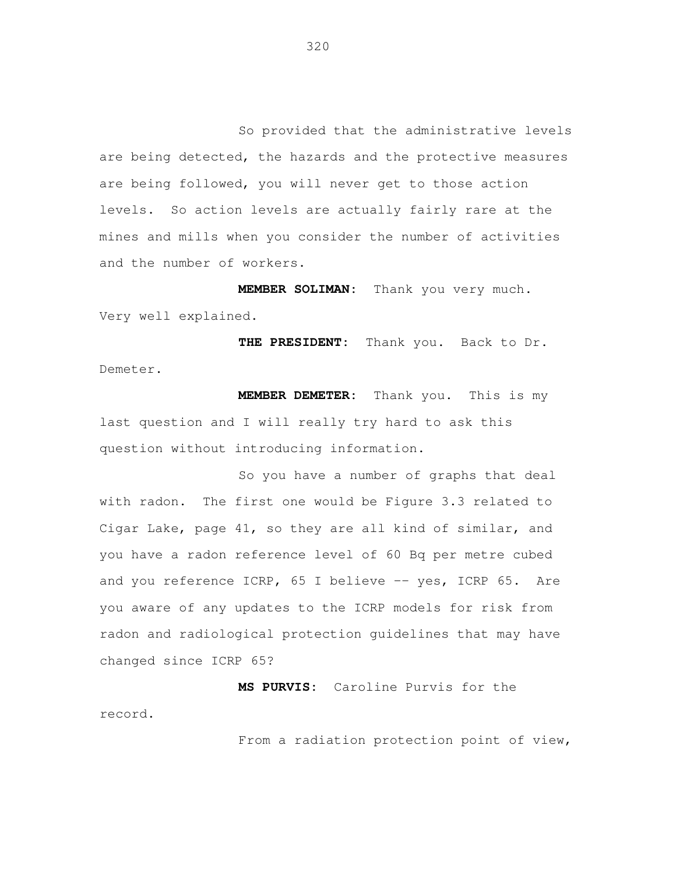So provided that the administrative levels are being detected, the hazards and the protective measures are being followed, you will never get to those action levels. So action levels are actually fairly rare at the mines and mills when you consider the number of activities and the number of workers.

**MEMBER SOLIMAN:** Thank you very much. Very well explained.

**THE PRESIDENT:** Thank you. Back to Dr. Demeter.

**MEMBER DEMETER:** Thank you. This is my last question and I will really try hard to ask this question without introducing information.

So you have a number of graphs that deal with radon. The first one would be Figure 3.3 related to Cigar Lake, page 41, so they are all kind of similar, and you have a radon reference level of 60 Bq per metre cubed and you reference ICRP, 65 I believe -- yes, ICRP 65. Are you aware of any updates to the ICRP models for risk from radon and radiological protection guidelines that may have changed since ICRP 65?

**MS PURVIS:** Caroline Purvis for the record.

From a radiation protection point of view,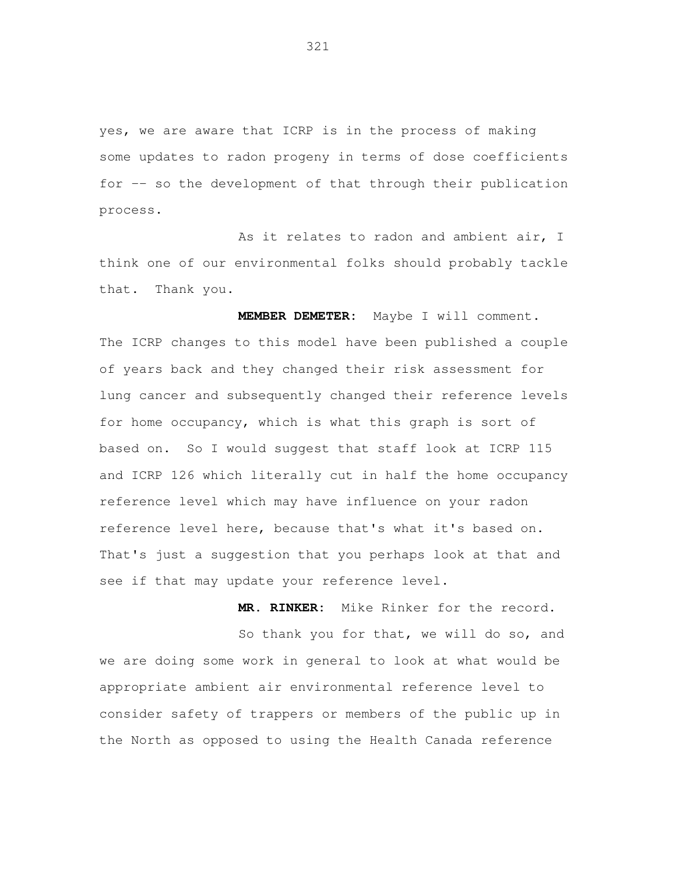yes, we are aware that ICRP is in the process of making some updates to radon progeny in terms of dose coefficients for -- so the development of that through their publication process.

 As it relates to radon and ambient air, I think one of our environmental folks should probably tackle that. Thank you.

 **MEMBER DEMETER:** Maybe I will comment. The ICRP changes to this model have been published a couple of years back and they changed their risk assessment for lung cancer and subsequently changed their reference levels for home occupancy, which is what this graph is sort of based on. So I would suggest that staff look at ICRP 115 and ICRP 126 which literally cut in half the home occupancy reference level which may have influence on your radon reference level here, because that's what it's based on. That's just a suggestion that you perhaps look at that and see if that may update your reference level.

 **MR. RINKER:** Mike Rinker for the record. So thank you for that, we will do so, and we are doing some work in general to look at what would be appropriate ambient air environmental reference level to consider safety of trappers or members of the public up in the North as opposed to using the Health Canada reference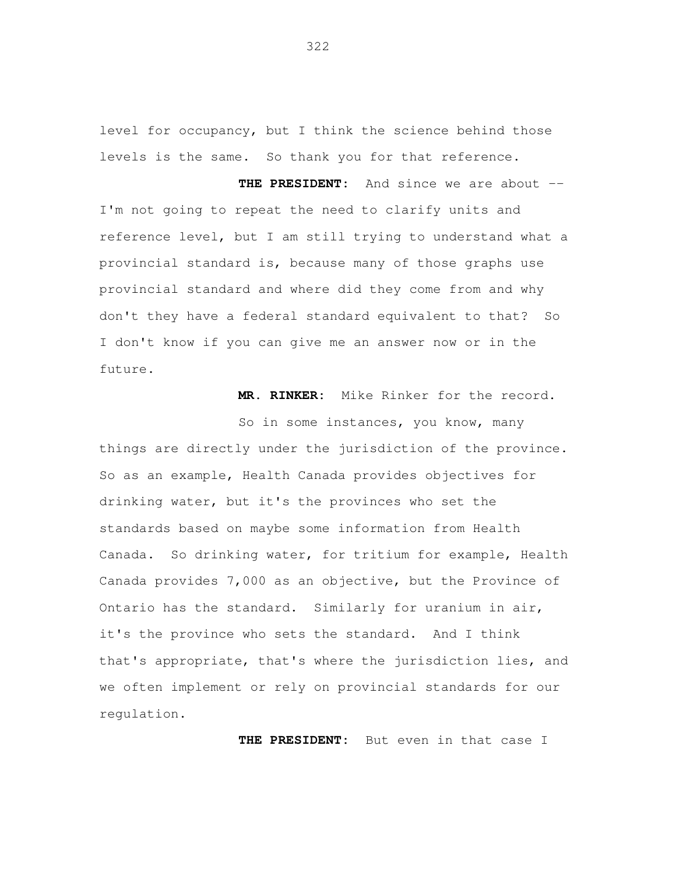level for occupancy, but I think the science behind those levels is the same. So thank you for that reference.

 **THE PRESIDENT:** And since we are about - I'm not going to repeat the need to clarify units and reference level, but I am still trying to understand what a provincial standard is, because many of those graphs use provincial standard and where did they come from and why don't they have a federal standard equivalent to that? So I don't know if you can give me an answer now or in the future.

**MR. RINKER:** Mike Rinker for the record.

 So in some instances, you know, many things are directly under the jurisdiction of the province. So as an example, Health Canada provides objectives for drinking water, but it's the provinces who set the standards based on maybe some information from Health Canada. So drinking water, for tritium for example, Health Canada provides 7,000 as an objective, but the Province of Ontario has the standard. Similarly for uranium in air, it's the province who sets the standard. And I think that's appropriate, that's where the jurisdiction lies, and we often implement or rely on provincial standards for our regulation.

**THE PRESIDENT:** But even in that case I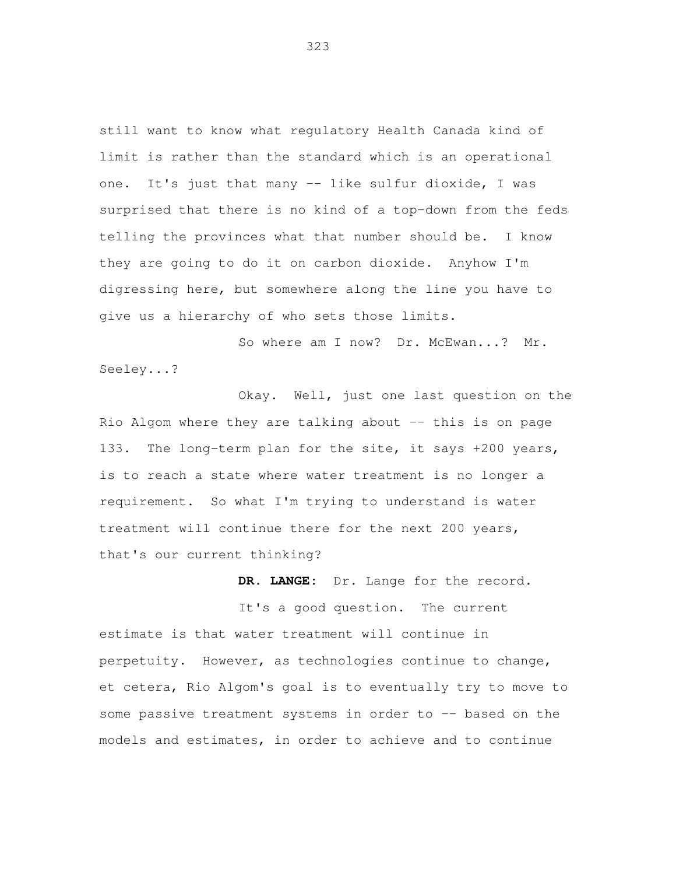still want to know what regulatory Health Canada kind of limit is rather than the standard which is an operational one. It's just that many -- like sulfur dioxide, I was surprised that there is no kind of a top-down from the feds telling the provinces what that number should be. I know they are going to do it on carbon dioxide. Anyhow I'm digressing here, but somewhere along the line you have to give us a hierarchy of who sets those limits.

So where am I now? Dr. McEwan...? Mr. Seeley...?

 Okay. Well, just one last question on the Rio Algom where they are talking about -- this is on page 133. The long-term plan for the site, it says +200 years, is to reach a state where water treatment is no longer a requirement. So what I'm trying to understand is water treatment will continue there for the next 200 years, that's our current thinking?

**DR. LANGE:** Dr. Lange for the record.

 It's a good question. The current estimate is that water treatment will continue in perpetuity. However, as technologies continue to change, et cetera, Rio Algom's goal is to eventually try to move to some passive treatment systems in order to -- based on the models and estimates, in order to achieve and to continue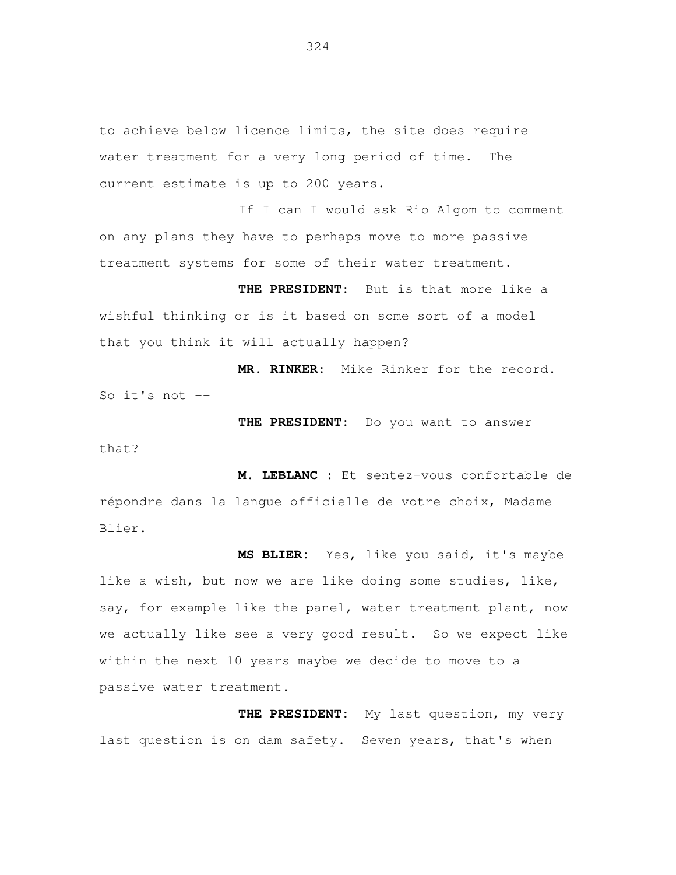to achieve below licence limits, the site does require water treatment for a very long period of time. The current estimate is up to 200 years.

If I can I would ask Rio Algom to comment on any plans they have to perhaps move to more passive treatment systems for some of their water treatment.

**THE PRESIDENT:** But is that more like a wishful thinking or is it based on some sort of a model that you think it will actually happen?

**MR. RINKER:** Mike Rinker for the record. So it's not  $-$ 

that?

**THE PRESIDENT:** Do you want to answer

**M. LEBLANC :** Et sentez-vous confortable de répondre dans la langue officielle de votre choix, Madame Blier.

**MS BLIER:** Yes, like you said, it's maybe like a wish, but now we are like doing some studies, like, say, for example like the panel, water treatment plant, now we actually like see a very good result. So we expect like within the next 10 years maybe we decide to move to a passive water treatment.

**THE PRESIDENT:** My last question, my very last question is on dam safety. Seven years, that's when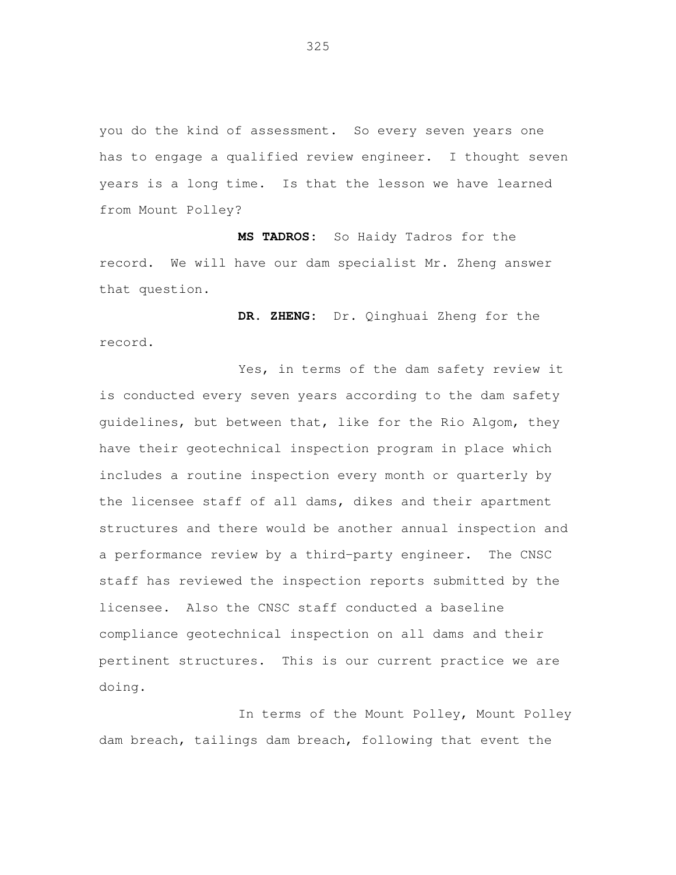you do the kind of assessment. So every seven years one has to engage a qualified review engineer. I thought seven years is a long time. Is that the lesson we have learned from Mount Polley?

**MS TADROS:** So Haidy Tadros for the record. We will have our dam specialist Mr. Zheng answer that question.

**DR. ZHENG:** Dr. Qinghuai Zheng for the record.

Yes, in terms of the dam safety review it is conducted every seven years according to the dam safety guidelines, but between that, like for the Rio Algom, they have their geotechnical inspection program in place which includes a routine inspection every month or quarterly by the licensee staff of all dams, dikes and their apartment structures and there would be another annual inspection and a performance review by a third-party engineer. The CNSC staff has reviewed the inspection reports submitted by the licensee. Also the CNSC staff conducted a baseline compliance geotechnical inspection on all dams and their pertinent structures. This is our current practice we are doing.

In terms of the Mount Polley, Mount Polley dam breach, tailings dam breach, following that event the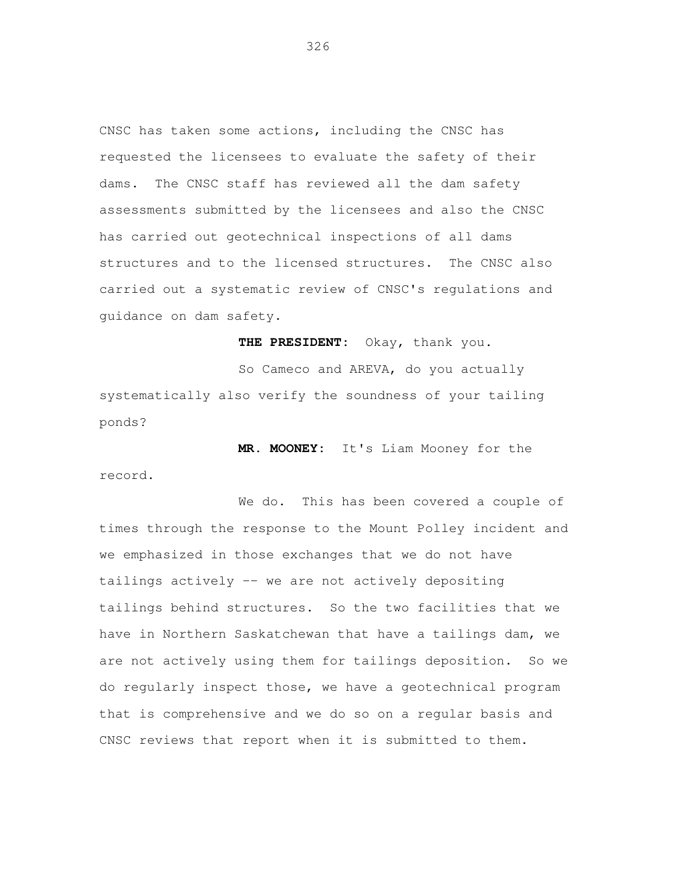CNSC has taken some actions, including the CNSC has requested the licensees to evaluate the safety of their dams. The CNSC staff has reviewed all the dam safety assessments submitted by the licensees and also the CNSC has carried out geotechnical inspections of all dams structures and to the licensed structures. The CNSC also carried out a systematic review of CNSC's regulations and guidance on dam safety.

**THE PRESIDENT:** Okay, thank you.

So Cameco and AREVA, do you actually systematically also verify the soundness of your tailing ponds?

**MR. MOONEY:** It's Liam Mooney for the record.

We do. This has been covered a couple of times through the response to the Mount Polley incident and we emphasized in those exchanges that we do not have tailings actively -- we are not actively depositing tailings behind structures. So the two facilities that we have in Northern Saskatchewan that have a tailings dam, we are not actively using them for tailings deposition. So we do regularly inspect those, we have a geotechnical program that is comprehensive and we do so on a regular basis and CNSC reviews that report when it is submitted to them.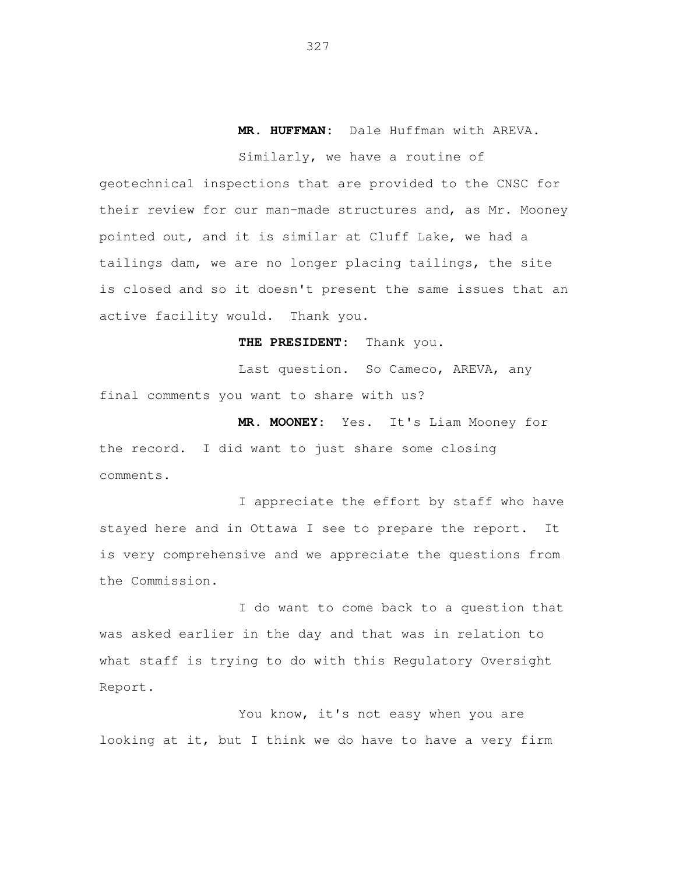## **MR. HUFFMAN:** Dale Huffman with AREVA.

 Similarly, we have a routine of geotechnical inspections that are provided to the CNSC for their review for our man-made structures and, as Mr. Mooney pointed out, and it is similar at Cluff Lake, we had a tailings dam, we are no longer placing tailings, the site is closed and so it doesn't present the same issues that an active facility would. Thank you.

**THE PRESIDENT:** Thank you.

Last question. So Cameco, AREVA, any final comments you want to share with us?

 **MR. MOONEY:** Yes. It's Liam Mooney for the record. I did want to just share some closing comments.

 I appreciate the effort by staff who have stayed here and in Ottawa I see to prepare the report. It is very comprehensive and we appreciate the questions from the Commission.

 I do want to come back to a question that was asked earlier in the day and that was in relation to what staff is trying to do with this Regulatory Oversight Report.

 You know, it's not easy when you are looking at it, but I think we do have to have a very firm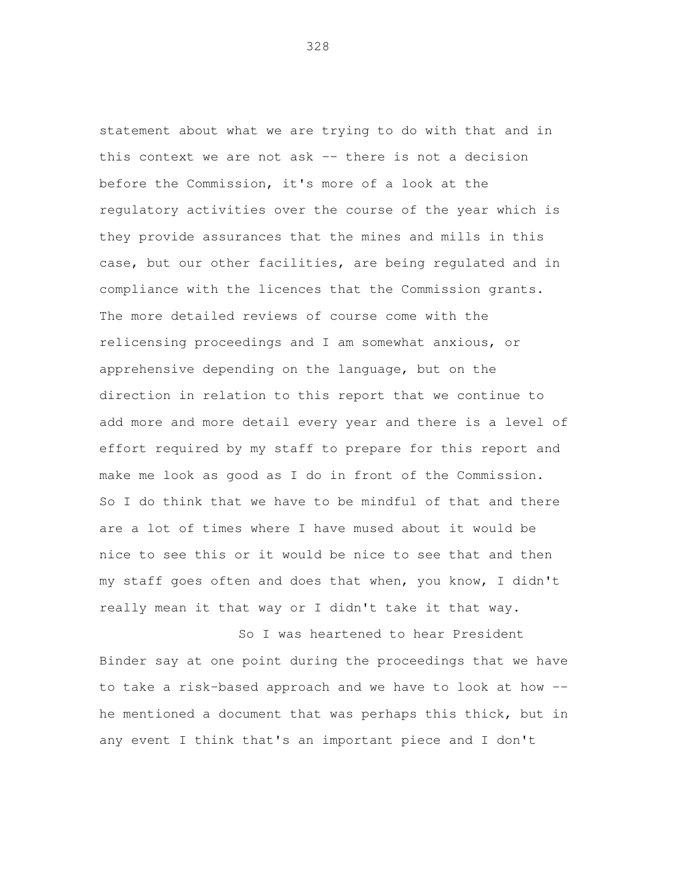statement about what we are trying to do with that and in this context we are not ask -- there is not a decision before the Commission, it's more of a look at the regulatory activities over the course of the year which is they provide assurances that the mines and mills in this case, but our other facilities, are being regulated and in compliance with the licences that the Commission grants. The more detailed reviews of course come with the relicensing proceedings and I am somewhat anxious, or apprehensive depending on the language, but on the direction in relation to this report that we continue to add more and more detail every year and there is a level of effort required by my staff to prepare for this report and make me look as good as I do in front of the Commission. So I do think that we have to be mindful of that and there are a lot of times where I have mused about it would be nice to see this or it would be nice to see that and then my staff goes often and does that when, you know, I didn't really mean it that way or I didn't take it that way.

 So I was heartened to hear President Binder say at one point during the proceedings that we have to take a risk-based approach and we have to look at how - he mentioned a document that was perhaps this thick, but in any event I think that's an important piece and I don't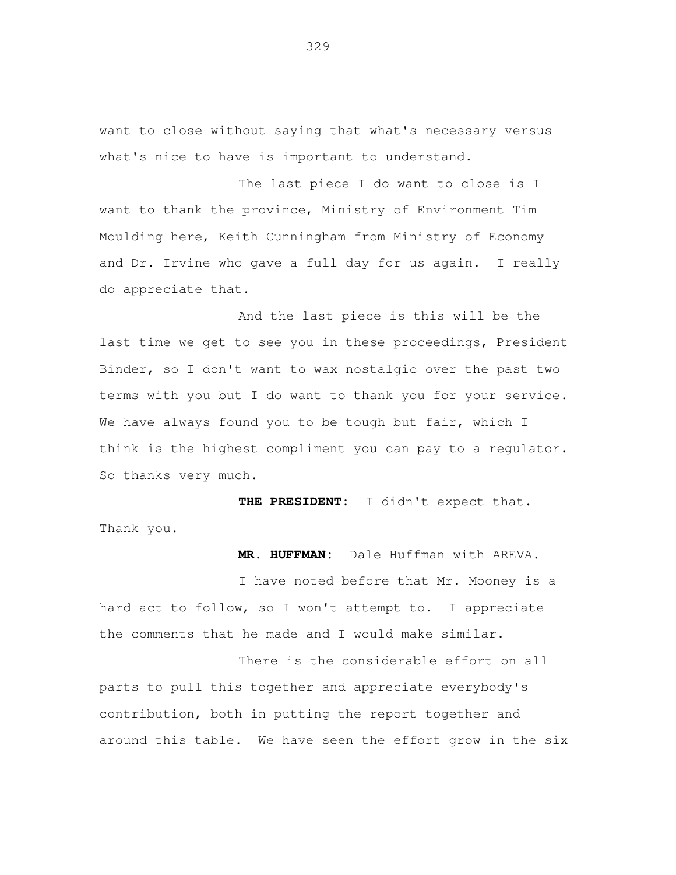want to close without saying that what's necessary versus what's nice to have is important to understand.

 The last piece I do want to close is I want to thank the province, Ministry of Environment Tim Moulding here, Keith Cunningham from Ministry of Economy and Dr. Irvine who gave a full day for us again. I really do appreciate that.

 And the last piece is this will be the last time we get to see you in these proceedings, President Binder, so I don't want to wax nostalgic over the past two terms with you but I do want to thank you for your service. We have always found you to be tough but fair, which I think is the highest compliment you can pay to a regulator. So thanks very much.

 **THE PRESIDENT:** I didn't expect that. Thank you.

**MR. HUFFMAN:** Dale Huffman with AREVA.

 I have noted before that Mr. Mooney is a hard act to follow, so I won't attempt to. I appreciate the comments that he made and I would make similar.

 There is the considerable effort on all parts to pull this together and appreciate everybody's contribution, both in putting the report together and around this table. We have seen the effort grow in the six